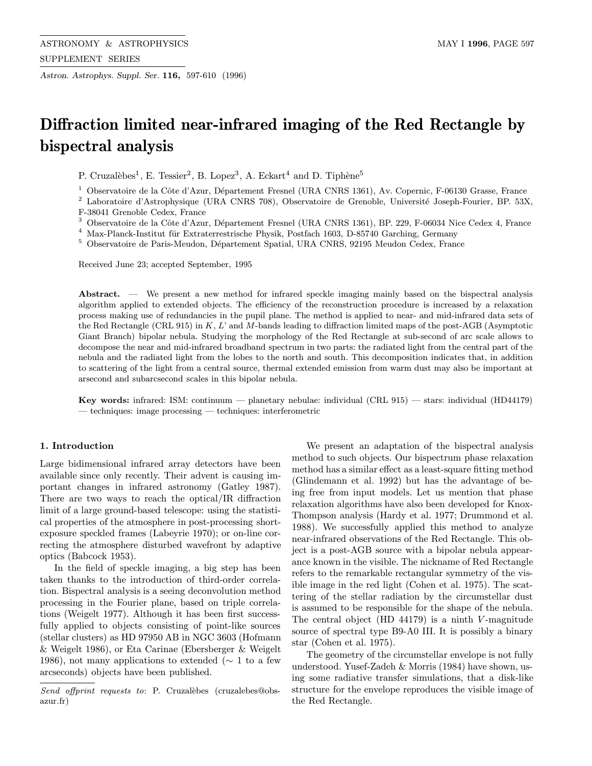Astron. Astrophys. Suppl. Ser. 116, 597-610 (1996)

# Diffraction limited near-infrared imaging of the Red Rectangle by bispectral analysis

P. Cruzalèbes<sup>1</sup>, E. Tessier<sup>2</sup>, B. Lopez<sup>3</sup>, A. Eckart<sup>4</sup> and D. Tiphène<sup>5</sup>

<sup>1</sup> Observatoire de la Côte d'Azur, Département Fresnel (URA CNRS 1361), Av. Copernic, F-06130 Grasse, France

<sup>2</sup> Laboratoire d'Astrophysique (URA CNRS 708), Observatoire de Grenoble, Université Joseph-Fourier, BP. 53X, F-38041 Grenoble Cedex, France

<sup>3</sup> Observatoire de la Côte d'Azur, Département Fresnel (URA CNRS 1361), BP. 229, F-06034 Nice Cedex 4, France

 $^4\,$  Max-Planck-Institut für Extraterrestrische Physik, Postfach 1603, D-85740 Garching, Germany

 $^5$  Observatoire de Paris-Meudon, Département Spatial, URA CNRS, 92195 Meudon Cedex, France

Received June 23; accepted September, 1995

Abstract. — We present a new method for infrared speckle imaging mainly based on the bispectral analysis algorithm applied to extended objects. The efficiency of the reconstruction procedure is increased by a relaxation process making use of redundancies in the pupil plane. The method is applied to near- and mid-infrared data sets of the Red Rectangle (CRL 915) in K, L' and M-bands leading to diffraction limited maps of the post-AGB (Asymptotic Giant Branch) bipolar nebula. Studying the morphology of the Red Rectangle at sub-second of arc scale allows to decompose the near and mid-infrared broadband spectrum in two parts: the radiated light from the central part of the nebula and the radiated light from the lobes to the north and south. This decomposition indicates that, in addition to scattering of the light from a central source, thermal extended emission from warm dust may also be important at arsecond and subarcsecond scales in this bipolar nebula.

Key words: infrared: ISM: continuum — planetary nebulae: individual (CRL 915) — stars: individual (HD44179) — techniques: image processing — techniques: interferometric

## 1. Introduction

Large bidimensional infrared array detectors have been available since only recently. Their advent is causing important changes in infrared astronomy (Gatley 1987). There are two ways to reach the optical/IR diffraction limit of a large ground-based telescope: using the statistical properties of the atmosphere in post-processing shortexposure speckled frames (Labeyrie 1970); or on-line correcting the atmosphere disturbed wavefront by adaptive optics (Babcock 1953).

In the field of speckle imaging, a big step has been taken thanks to the introduction of third-order correlation. Bispectral analysis is a seeing deconvolution method processing in the Fourier plane, based on triple correlations (Weigelt 1977). Although it has been first successfully applied to objects consisting of point-like sources (stellar clusters) as HD 97950 AB in NGC 3603 (Hofmann & Weigelt 1986), or Eta Carinae (Ebersberger & Weigelt 1986), not many applications to extended ( $\sim$  1 to a few arcseconds) objects have been published.

We present an adaptation of the bispectral analysis method to such objects. Our bispectrum phase relaxation method has a similar effect as a least-square fitting method (Glindemann et al. 1992) but has the advantage of being free from input models. Let us mention that phase relaxation algorithms have also been developed for Knox-Thompson analysis (Hardy et al. 1977; Drummond et al. 1988). We successfully applied this method to analyze near-infrared observations of the Red Rectangle. This object is a post-AGB source with a bipolar nebula appearance known in the visible. The nickname of Red Rectangle refers to the remarkable rectangular symmetry of the visible image in the red light (Cohen et al. 1975). The scattering of the stellar radiation by the circumstellar dust is assumed to be responsible for the shape of the nebula. The central object (HD  $44179$ ) is a ninth V-magnitude source of spectral type B9-A0 III. It is possibly a binary star (Cohen et al. 1975).

The geometry of the circumstellar envelope is not fully understood. Yusef-Zadeh & Morris (1984) have shown, using some radiative transfer simulations, that a disk-like structure for the envelope reproduces the visible image of the Red Rectangle.

Send offprint requests to: P. Cruzalèbes (cruzalebes@obsazur.fr)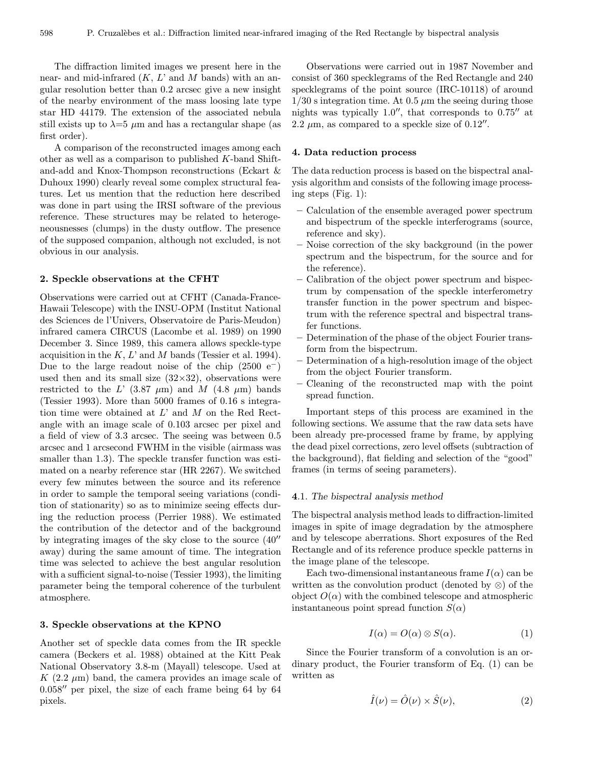The diffraction limited images we present here in the near- and mid-infrared  $(K, L'$  and M bands) with an angular resolution better than 0.2 arcsec give a new insight of the nearby environment of the mass loosing late type star HD 44179. The extension of the associated nebula still exists up to  $\lambda=5$   $\mu$ m and has a rectangular shape (as first order).

A comparison of the reconstructed images among each other as well as a comparison to published K-band Shiftand-add and Knox-Thompson reconstructions (Eckart & Duhoux 1990) clearly reveal some complex structural features. Let us mention that the reduction here described was done in part using the IRSI software of the previous reference. These structures may be related to heterogeneousnesses (clumps) in the dusty outflow. The presence of the supposed companion, although not excluded, is not obvious in our analysis.

## 2. Speckle observations at the CFHT

Observations were carried out at CFHT (Canada-France-Hawaii Telescope) with the INSU-OPM (Institut National des Sciences de l'Univers, Observatoire de Paris-Meudon) infrared camera CIRCUS (Lacombe et al. 1989) on 1990 December 3. Since 1989, this camera allows speckle-type acquisition in the  $K, L'$  and M bands (Tessier et al. 1994). Due to the large readout noise of the chip  $(2500 e^-)$ used then and its small size  $(32\times32)$ , observations were restricted to the L'  $(3.87 \mu m)$  and M  $(4.8 \mu m)$  bands (Tessier 1993). More than 5000 frames of 0.16 s integration time were obtained at  $L'$  and  $M$  on the Red Rectangle with an image scale of 0.103 arcsec per pixel and a field of view of 3.3 arcsec. The seeing was between 0.5 arcsec and 1 arcsecond FWHM in the visible (airmass was smaller than 1.3). The speckle transfer function was estimated on a nearby reference star (HR 2267). We switched every few minutes between the source and its reference in order to sample the temporal seeing variations (condition of stationarity) so as to minimize seeing effects during the reduction process (Perrier 1988). We estimated the contribution of the detector and of the background by integrating images of the sky close to the source  $(40<sup>′</sup>)$ away) during the same amount of time. The integration time was selected to achieve the best angular resolution with a sufficient signal-to-noise (Tessier 1993), the limiting parameter being the temporal coherence of the turbulent atmosphere.

## 3. Speckle observations at the KPNO

Another set of speckle data comes from the IR speckle camera (Beckers et al. 1988) obtained at the Kitt Peak National Observatory 3.8-m (Mayall) telescope. Used at K  $(2.2 \mu m)$  band, the camera provides an image scale of  $0.058''$  per pixel, the size of each frame being 64 by 64 pixels.

Observations were carried out in 1987 November and consist of 360 specklegrams of the Red Rectangle and 240 specklegrams of the point source (IRC-10118) of around  $1/30$  s integration time. At 0.5  $\mu$ m the seeing during those nights was typically  $1.0''$ , that corresponds to  $0.75''$  at 2.2  $\mu$ m, as compared to a speckle size of 0.12".

## 4. Data reduction process

The data reduction process is based on the bispectral analysis algorithm and consists of the following image processing steps (Fig. 1):

- Calculation of the ensemble averaged power spectrum and bispectrum of the speckle interferograms (source, reference and sky).
- Noise correction of the sky background (in the power spectrum and the bispectrum, for the source and for the reference).
- Calibration of the object power spectrum and bispectrum by compensation of the speckle interferometry transfer function in the power spectrum and bispectrum with the reference spectral and bispectral transfer functions.
- Determination of the phase of the object Fourier transform from the bispectrum.
- Determination of a high-resolution image of the object from the object Fourier transform.
- Cleaning of the reconstructed map with the point spread function.

Important steps of this process are examined in the following sections. We assume that the raw data sets have been already pre-processed frame by frame, by applying the dead pixel corrections, zero level offsets (subtraction of the background), flat fielding and selection of the "good" frames (in terms of seeing parameters).

#### 4.1. The bispectral analysis method

The bispectral analysis method leads to diffraction-limited images in spite of image degradation by the atmosphere and by telescope aberrations. Short exposures of the Red Rectangle and of its reference produce speckle patterns in the image plane of the telescope.

Each two-dimensional instantaneous frame  $I(\alpha)$  can be written as the convolution product (denoted by  $\otimes$ ) of the object  $O(\alpha)$  with the combined telescope and atmospheric instantaneous point spread function  $S(\alpha)$ 

$$
I(\alpha) = O(\alpha) \otimes S(\alpha). \tag{1}
$$

Since the Fourier transform of a convolution is an ordinary product, the Fourier transform of Eq. (1) can be written as

$$
\hat{I}(\nu) = \hat{O}(\nu) \times \hat{S}(\nu),\tag{2}
$$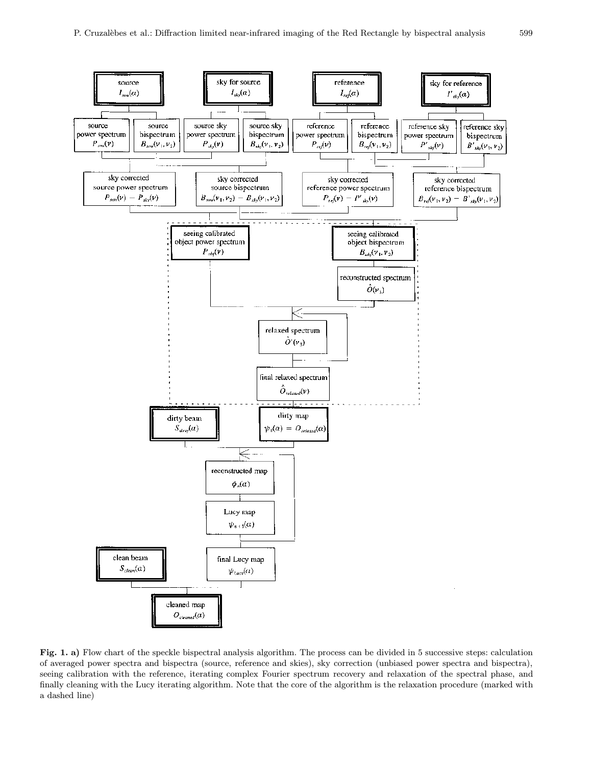

Fig. 1. a) Flow chart of the speckle bispectral analysis algorithm. The process can be divided in 5 successive steps: calculation of averaged power spectra and bispectra (source, reference and skies), sky correction (unbiased power spectra and bispectra), seeing calibration with the reference, iterating complex Fourier spectrum recovery and relaxation of the spectral phase, and finally cleaning with the Lucy iterating algorithm. Note that the core of the algorithm is the relaxation procedure (marked with a dashed line)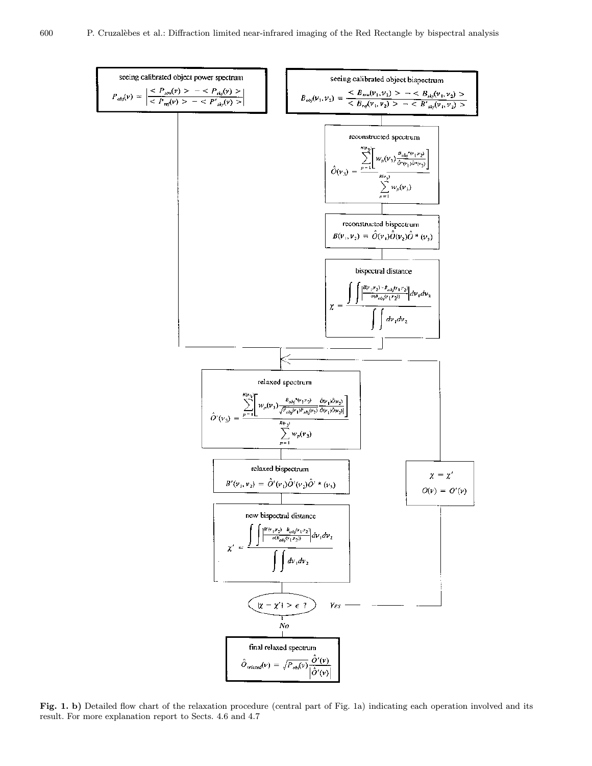

Fig. 1. b) Detailed flow chart of the relaxation procedure (central part of Fig. 1a) indicating each operation involved and its result. For more explanation report to Sects. 4.6 and 4.7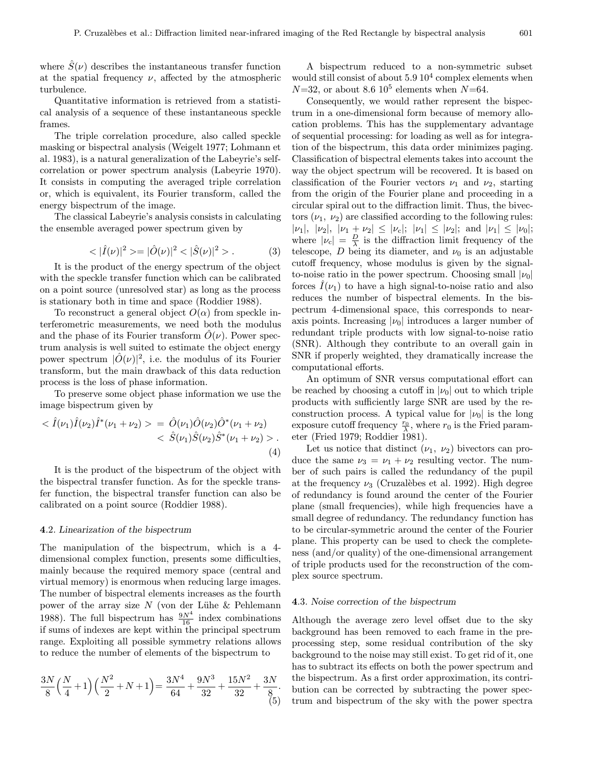where  $S(\nu)$  describes the instantaneous transfer function at the spatial frequency  $\nu$ , affected by the atmospheric turbulence.

Quantitative information is retrieved from a statistical analysis of a sequence of these instantaneous speckle frames.

The triple correlation procedure, also called speckle masking or bispectral analysis (Weigelt 1977; Lohmann et al. 1983), is a natural generalization of the Labeyrie's selfcorrelation or power spectrum analysis (Labeyrie 1970). It consists in computing the averaged triple correlation or, which is equivalent, its Fourier transform, called the energy bispectrum of the image.

The classical Labeyrie's analysis consists in calculating the ensemble averaged power spectrum given by

$$
\langle |\hat{I}(\nu)|^2 \rangle = |\hat{O}(\nu)|^2 \langle |\hat{S}(\nu)|^2 \rangle. \tag{3}
$$

It is the product of the energy spectrum of the object with the speckle transfer function which can be calibrated on a point source (unresolved star) as long as the process is stationary both in time and space (Roddier 1988).

To reconstruct a general object  $O(\alpha)$  from speckle interferometric measurements, we need both the modulus and the phase of its Fourier transform  $O(\nu)$ . Power spectrum analysis is well suited to estimate the object energy power spectrum  $|\hat{O}(\nu)|^2$ , i.e. the modulus of its Fourier transform, but the main drawback of this data reduction process is the loss of phase information.

To preserve some object phase information we use the image bispectrum given by

$$
\langle \hat{I}(\nu_1)\hat{I}(\nu_2)\hat{I}^*(\nu_1+\nu_2)\rangle = \hat{O}(\nu_1)\hat{O}(\nu_2)\hat{O}^*(\nu_1+\nu_2) \langle \hat{S}(\nu_1)\hat{S}(\nu_2)\hat{S}^*(\nu_1+\nu_2)\rangle.
$$
\n(4)

It is the product of the bispectrum of the object with the bispectral transfer function. As for the speckle transfer function, the bispectral transfer function can also be calibrated on a point source (Roddier 1988).

#### 4.2. Linearization of the bispectrum

The manipulation of the bispectrum, which is a 4 dimensional complex function, presents some difficulties, mainly because the required memory space (central and virtual memory) is enormous when reducing large images. The number of bispectral elements increases as the fourth power of the array size  $N$  (von der Lühe & Pehlemann 1988). The full bispectrum has  $\frac{9N^4}{16}$  index combinations if sums of indexes are kept within the principal spectrum range. Exploiting all possible symmetry relations allows to reduce the number of elements of the bispectrum to

$$
\frac{3N}{8}\left(\frac{N}{4}+1\right)\left(\frac{N^2}{2}+N+1\right) = \frac{3N^4}{64} + \frac{9N^3}{32} + \frac{15N^2}{32} + \frac{3N}{8}.
$$
\n(5)

A bispectrum reduced to a non-symmetric subset would still consist of about  $5.9 10<sup>4</sup>$  complex elements when  $N=32$ , or about 8.6 10<sup>5</sup> elements when  $N=64$ .

Consequently, we would rather represent the bispectrum in a one-dimensional form because of memory allocation problems. This has the supplementary advantage of sequential processing: for loading as well as for integration of the bispectrum, this data order minimizes paging. Classification of bispectral elements takes into account the way the object spectrum will be recovered. It is based on classification of the Fourier vectors  $\nu_1$  and  $\nu_2$ , starting from the origin of the Fourier plane and proceeding in a circular spiral out to the diffraction limit. Thus, the bivectors  $(\nu_1, \nu_2)$  are classified according to the following rules:  $|\nu_1|, |\nu_2|, |\nu_1 + \nu_2| \leq |\nu_c|; |\nu_1| \leq |\nu_2|;$  and  $|\nu_1| \leq |\nu_0|;$ where  $|\nu_c| = \frac{D}{\lambda}$  is the diffraction limit frequency of the telescope, D being its diameter, and  $\nu_0$  is an adjustable cutoff frequency, whose modulus is given by the signalto-noise ratio in the power spectrum. Choosing small  $|\nu_0|$ forces  $\hat{I}(\nu_1)$  to have a high signal-to-noise ratio and also reduces the number of bispectral elements. In the bispectrum 4-dimensional space, this corresponds to nearaxis points. Increasing  $|\nu_0|$  introduces a larger number of redundant triple products with low signal-to-noise ratio (SNR). Although they contribute to an overall gain in SNR if properly weighted, they dramatically increase the computational efforts.

An optimum of SNR versus computational effort can be reached by choosing a cutoff in  $|\nu_0|$  out to which triple products with sufficiently large SNR are used by the reconstruction process. A typical value for  $|\nu_0|$  is the long exposure cutoff frequency  $\frac{r_0}{\lambda}$ , where  $r_0$  is the Fried parameter (Fried 1979; Roddier 1981).

Let us notice that distinct  $(\nu_1, \nu_2)$  bivectors can produce the same  $\nu_3 = \nu_1 + \nu_2$  resulting vector. The number of such pairs is called the redundancy of the pupil at the frequency  $\nu_3$  (Cruzalèbes et al. 1992). High degree of redundancy is found around the center of the Fourier plane (small frequencies), while high frequencies have a small degree of redundancy. The redundancy function has to be circular-symmetric around the center of the Fourier plane. This property can be used to check the completeness (and/or quality) of the one-dimensional arrangement of triple products used for the reconstruction of the complex source spectrum.

#### 4.3. Noise correction of the bispectrum

Although the average zero level offset due to the sky background has been removed to each frame in the preprocessing step, some residual contribution of the sky background to the noise may still exist. To get rid of it, one has to subtract its effects on both the power spectrum and the bispectrum. As a first order approximation, its contribution can be corrected by subtracting the power spectrum and bispectrum of the sky with the power spectra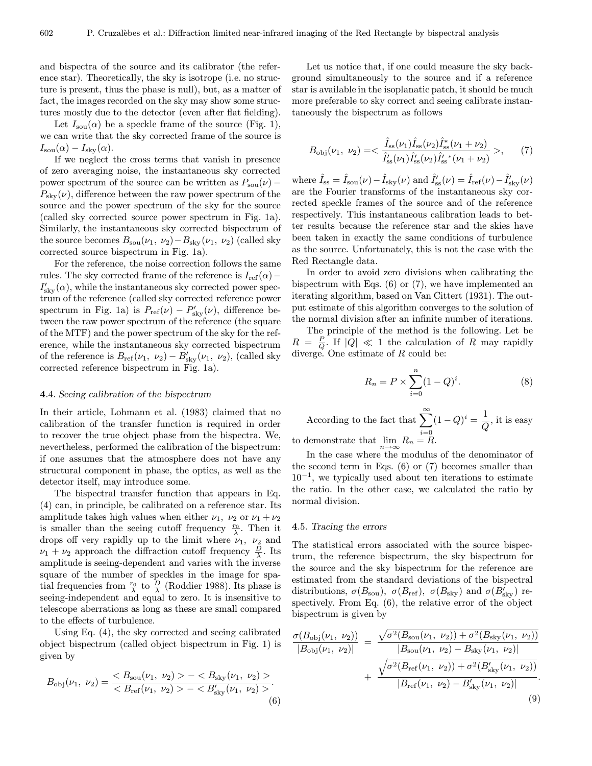and bispectra of the source and its calibrator (the reference star). Theoretically, the sky is isotrope (i.e. no structure is present, thus the phase is null), but, as a matter of fact, the images recorded on the sky may show some structures mostly due to the detector (even after flat fielding).

Let  $I_{\text{sou}}(\alpha)$  be a speckle frame of the source (Fig. 1), we can write that the sky corrected frame of the source is  $I_{\text{sou}}(\alpha) - I_{\text{sky}}(\alpha).$ 

If we neglect the cross terms that vanish in presence of zero averaging noise, the instantaneous sky corrected power spectrum of the source can be written as  $P_{sou}(\nu)$  –  $P_{\rm sky}(\nu)$ , difference between the raw power spectrum of the source and the power spectrum of the sky for the source (called sky corrected source power spectrum in Fig. 1a). Similarly, the instantaneous sky corrected bispectrum of the source becomes  $B_{sou}(\nu_1, \nu_2)-B_{sky}(\nu_1, \nu_2)$  (called sky corrected source bispectrum in Fig. 1a).

For the reference, the noise correction follows the same rules. The sky corrected frame of the reference is  $I_{ref}(\alpha)$  –  $I'_{\text{sky}}(\alpha)$ , while the instantaneous sky corrected power spectrum of the reference (called sky corrected reference power spectrum in Fig. 1a) is  $P_{\text{ref}}(\nu) - P'_{\text{sky}}(\nu)$ , difference between the raw power spectrum of the reference (the square of the MTF) and the power spectrum of the sky for the reference, while the instantaneous sky corrected bispectrum of the reference is  $B_{\text{ref}}(\nu_1, \nu_2) - B'_{\text{sky}}(\nu_1, \nu_2)$ , (called sky corrected reference bispectrum in Fig. 1a).

## 4.4. Seeing calibration of the bispectrum

In their article, Lohmann et al. (1983) claimed that no calibration of the transfer function is required in order to recover the true object phase from the bispectra. We, nevertheless, performed the calibration of the bispectrum: if one assumes that the atmosphere does not have any structural component in phase, the optics, as well as the detector itself, may introduce some.

The bispectral transfer function that appears in Eq. (4) can, in principle, be calibrated on a reference star. Its amplitude takes high values when either  $\nu_1$ ,  $\nu_2$  or  $\nu_1 + \nu_2$ is smaller than the seeing cutoff frequency  $\frac{r_0}{\lambda}$ . Then it drops off very rapidly up to the limit where  $\nu_1$ ,  $\nu_2$  and  $\nu_1 + \nu_2$  approach the diffraction cutoff frequency  $\frac{D}{\lambda}$ . Its amplitude is seeing-dependent and varies with the inverse square of the number of speckles in the image for spatial frequencies from  $\frac{r_0}{\lambda}$  to  $\frac{D}{\lambda}$  (Roddier 1988). Its phase is seeing-independent and equal to zero. It is insensitive to telescope aberrations as long as these are small compared to the effects of turbulence.

Using Eq. (4), the sky corrected and seeing calibrated object bispectrum (called object bispectrum in Fig. 1) is given by

$$
B_{\text{obj}}(\nu_1, \nu_2) = \frac{B_{\text{you}}(\nu_1, \nu_2) > -B_{\text{sky}}(\nu_1, \nu_2) >}{B_{\text{ref}}(\nu_1, \nu_2) > -B_{\text{sky}}'(\nu_1, \nu_2) >}. \tag{6}
$$

Let us notice that, if one could measure the sky background simultaneously to the source and if a reference star is available in the isoplanatic patch, it should be much more preferable to sky correct and seeing calibrate instantaneously the bispectrum as follows

$$
B_{\text{obj}}(\nu_1, \ \nu_2) = \langle \ \frac{\hat{I}_{\text{ss}}(\nu_1)\hat{I}_{\text{ss}}(\nu_2)\hat{I}_{\text{ss}}^*(\nu_1 + \nu_2)}{\hat{I}_{\text{ss}}'(\nu_1)\hat{I}_{\text{ss}}'(\nu_2)\hat{I}_{\text{ss}}'^*(\nu_1 + \nu_2)} \ \rangle, \tag{7}
$$

where  $\hat{I}_{ss} = \hat{I}_{sou}(\nu) - \hat{I}_{sky}(\nu)$  and  $\hat{I}'_{ss}(\nu) = \hat{I}_{ref}(\nu) - \hat{I}'_{sky}(\nu)$ are the Fourier transforms of the instantaneous sky corrected speckle frames of the source and of the reference respectively. This instantaneous calibration leads to better results because the reference star and the skies have been taken in exactly the same conditions of turbulence as the source. Unfortunately, this is not the case with the Red Rectangle data.

In order to avoid zero divisions when calibrating the bispectrum with Eqs. (6) or (7), we have implemented an iterating algorithm, based on Van Cittert (1931). The output estimate of this algorithm converges to the solution of the normal division after an infinite number of iterations.

The principle of the method is the following. Let be  $R = \frac{P}{Q}$  If  $|Q| \ll 1$  the calculation of R may rapidly diverge. One estimate of R could be:

$$
R_n = P \times \sum_{i=0}^n (1 - Q)^i.
$$
 (8)

According to the fact that  $\sum_{i=0}^{\infty} (1 - Q)^i = \frac{1}{Q}$ , it is easy to demonstrate that  $\lim_{n \to \infty} R_n = R$ .

In the case where the modulus of the denominator of the second term in Eqs.  $(6)$  or  $(7)$  becomes smaller than  $10^{-1}$ , we typically used about ten iterations to estimate the ratio. In the other case, we calculated the ratio by normal division.

## 4.5. Tracing the errors

The statistical errors associated with the source bispectrum, the reference bispectrum, the sky bispectrum for the source and the sky bispectrum for the reference are estimated from the standard deviations of the bispectral distributions,  $\sigma(B_{\text{sou}})$ ,  $\sigma(B_{\text{ref}})$ ,  $\sigma(B_{\text{sky}})$  and  $\sigma(B'_{\text{sky}})$  respectively. From Eq. (6), the relative error of the object bispectrum is given by

$$
\frac{\sigma(B_{\text{obj}}(\nu_1, \nu_2))}{|B_{\text{obj}}(\nu_1, \nu_2)|} = \frac{\sqrt{\sigma^2(B_{\text{sou}}(\nu_1, \nu_2)) + \sigma^2(B_{\text{sky}}(\nu_1, \nu_2))}}{|B_{\text{sou}}(\nu_1, \nu_2) - B_{\text{sky}}(\nu_1, \nu_2)|} + \frac{\sqrt{\sigma^2(B_{\text{ref}}(\nu_1, \nu_2)) + \sigma^2(B_{\text{sky}}'(\nu_1, \nu_2))}}{|B_{\text{ref}}(\nu_1, \nu_2) - B_{\text{sky}}'(\nu_1, \nu_2)|}.
$$
\n(9)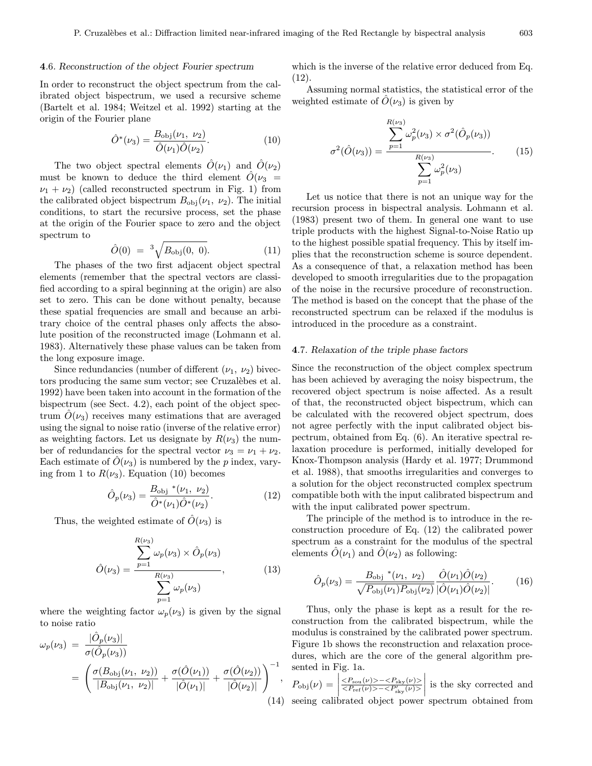## 4.6. Reconstruction of the object Fourier spectrum

In order to reconstruct the object spectrum from the calibrated object bispectrum, we used a recursive scheme (Bartelt et al. 1984; Weitzel et al. 1992) starting at the origin of the Fourier plane

$$
\hat{O}^*(\nu_3) = \frac{B_{\text{obj}}(\nu_1, \nu_2)}{\hat{O}(\nu_1)\hat{O}(\nu_2)}.
$$
\n(10)

The two object spectral elements  $\hat{O}(\nu_1)$  and  $\hat{O}(\nu_2)$ must be known to deduce the third element  $\hat{O}(\nu_3$  =  $\nu_1 + \nu_2$ ) (called reconstructed spectrum in Fig. 1) from the calibrated object bispectrum  $B_{\text{obj}}(\nu_1, \nu_2)$ . The initial conditions, to start the recursive process, set the phase at the origin of the Fourier space to zero and the object spectrum to

$$
\hat{O}(0) = {}^{3}\sqrt{B_{\text{obj}}(0, 0)}.
$$
 (11)

The phases of the two first adjacent object spectral elements (remember that the spectral vectors are classified according to a spiral beginning at the origin) are also set to zero. This can be done without penalty, because these spatial frequencies are small and because an arbitrary choice of the central phases only affects the absolute position of the reconstructed image (Lohmann et al. 1983). Alternatively these phase values can be taken from the long exposure image.

Since redundancies (number of different  $(\nu_1, \nu_2)$  bivectors producing the same sum vector; see Cruzalèbes et al. 1992) have been taken into account in the formation of the bispectrum (see Sect. 4.2), each point of the object spectrum  $\hat{O}(\nu_3)$  receives many estimations that are averaged using the signal to noise ratio (inverse of the relative error) as weighting factors. Let us designate by  $R(\nu_3)$  the number of redundancies for the spectral vector  $\nu_3 = \nu_1 + \nu_2$ . Each estimate of  $\hat{O}(\nu_3)$  is numbered by the p index, varying from 1 to  $R(\nu_3)$ . Equation (10) becomes

$$
\hat{O}_p(\nu_3) = \frac{B_{\text{obj}} * (\nu_1, \nu_2)}{\hat{O}^*(\nu_1)\hat{O}^*(\nu_2)}.
$$
\n(12)

Thus, the weighted estimate of  $\hat{O}(\nu_3)$  is

$$
\hat{O}(\nu_3) = \frac{\sum_{p=1}^{R(\nu_3)} \omega_p(\nu_3) \times \hat{O}_p(\nu_3)}{\sum_{p=1}^{R(\nu_3)} \omega_p(\nu_3)},
$$
\n(13)

where the weighting factor  $\omega_p(\nu_3)$  is given by the signal to noise ratio

$$
\omega_p(\nu_3) = \frac{|\hat{O}_p(\nu_3)|}{\sigma(\hat{O}_p(\nu_3))} \n= \left(\frac{\sigma(B_{\text{obj}}(\nu_1, \nu_2))}{|B_{\text{obj}}(\nu_1, \nu_2)|} + \frac{\sigma(\hat{O}(\nu_1))}{|\hat{O}(\nu_1)|} + \frac{\sigma(\hat{O}(\nu_2))}{|\hat{O}(\nu_2)|}\right)^{-1},
$$
\n(14)

which is the inverse of the relative error deduced from Eq. (12).

Assuming normal statistics, the statistical error of the weighted estimate of  $O(\nu_3)$  is given by

$$
\sigma^{2}(\hat{O}(\nu_{3})) = \frac{\sum_{p=1}^{R(\nu_{3})} \omega_{p}^{2}(\nu_{3}) \times \sigma^{2}(\hat{O}_{p}(\nu_{3}))}{\sum_{p=1}^{R(\nu_{3})} \omega_{p}^{2}(\nu_{3})}.
$$
 (15)

Let us notice that there is not an unique way for the recursion process in bispectral analysis. Lohmann et al. (1983) present two of them. In general one want to use triple products with the highest Signal-to-Noise Ratio up to the highest possible spatial frequency. This by itself implies that the reconstruction scheme is source dependent. As a consequence of that, a relaxation method has been developed to smooth irregularities due to the propagation of the noise in the recursive procedure of reconstruction. The method is based on the concept that the phase of the reconstructed spectrum can be relaxed if the modulus is introduced in the procedure as a constraint.

## 4.7. Relaxation of the triple phase factors

Since the reconstruction of the object complex spectrum has been achieved by averaging the noisy bispectrum, the recovered object spectrum is noise affected. As a result of that, the reconstructed object bispectrum, which can be calculated with the recovered object spectrum, does not agree perfectly with the input calibrated object bispectrum, obtained from Eq. (6). An iterative spectral relaxation procedure is performed, initially developed for Knox-Thompson analysis (Hardy et al. 1977; Drummond et al. 1988), that smooths irregularities and converges to a solution for the object reconstructed complex spectrum compatible both with the input calibrated bispectrum and with the input calibrated power spectrum.

The principle of the method is to introduce in the reconstruction procedure of Eq. (12) the calibrated power spectrum as a constraint for the modulus of the spectral elements  $\tilde{O}(\nu_1)$  and  $\tilde{O}(\nu_2)$  as following:

$$
\hat{O}_p(\nu_3) = \frac{B_{\text{obj}}^*(\nu_1, \nu_2)}{\sqrt{P_{\text{obj}}(\nu_1)P_{\text{obj}}(\nu_2)}} \frac{\hat{O}(\nu_1)\hat{O}(\nu_2)}{|\hat{O}(\nu_1)\hat{O}(\nu_2)|}.
$$
(16)

Thus, only the phase is kept as a result for the reconstruction from the calibrated bispectrum, while the modulus is constrained by the calibrated power spectrum. Figure 1b shows the reconstruction and relaxation procedures, which are the core of the general algorithm presented in Fig. 1a.

(14) seeing calibrated object power spectrum obtained from $P_{\text{obj}}(\nu) = \Bigg|$  $\langle P_{sou}(\nu)\rangle - \langle P_{\rm sky}(\nu)\rangle$  $\langle P_{\rm ref}(\nu)\rangle - \langle P_{\rm sky}'(\nu)\rangle$  $\begin{array}{c} \hline \end{array}$ is the sky corrected and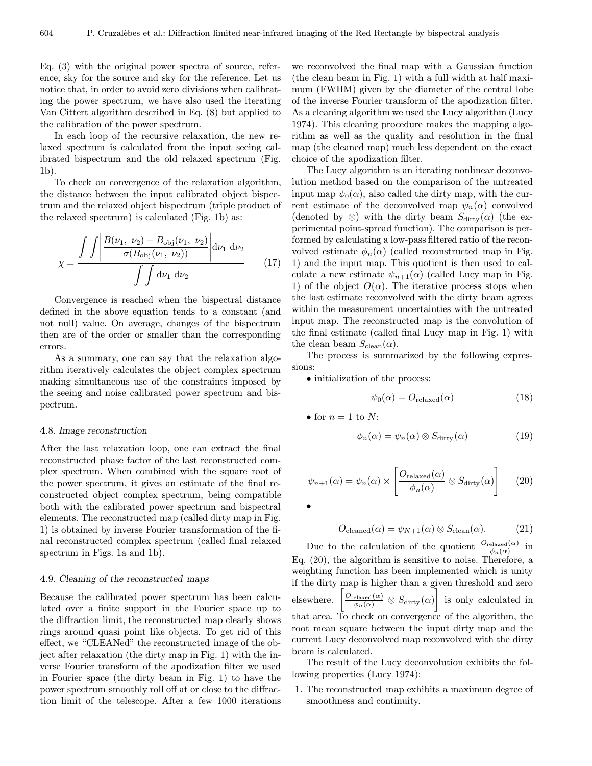Eq. (3) with the original power spectra of source, reference, sky for the source and sky for the reference. Let us notice that, in order to avoid zero divisions when calibrating the power spectrum, we have also used the iterating Van Cittert algorithm described in Eq. (8) but applied to the calibration of the power spectrum.

In each loop of the recursive relaxation, the new relaxed spectrum is calculated from the input seeing calibrated bispectrum and the old relaxed spectrum (Fig. 1b).

To check on convergence of the relaxation algorithm, the distance between the input calibrated object bispectrum and the relaxed object bispectrum (triple product of the relaxed spectrum) is calculated (Fig. 1b) as:

$$
\chi = \frac{\int \int \left| \frac{B(\nu_1, \nu_2) - B_{\text{obj}}(\nu_1, \nu_2)}{\sigma(B_{\text{obj}}(\nu_1, \nu_2))} \right| d\nu_1 d\nu_2}{\int \int d\nu_1 d\nu_2} \tag{17}
$$

Convergence is reached when the bispectral distance defined in the above equation tends to a constant (and not null) value. On average, changes of the bispectrum then are of the order or smaller than the corresponding errors.

As a summary, one can say that the relaxation algorithm iteratively calculates the object complex spectrum making simultaneous use of the constraints imposed by the seeing and noise calibrated power spectrum and bispectrum.

## 4.8. Image reconstruction

After the last relaxation loop, one can extract the final reconstructed phase factor of the last reconstructed complex spectrum. When combined with the square root of the power spectrum, it gives an estimate of the final reconstructed object complex spectrum, being compatible both with the calibrated power spectrum and bispectral elements. The reconstructed map (called dirty map in Fig. 1) is obtained by inverse Fourier transformation of the final reconstructed complex spectrum (called final relaxed spectrum in Figs. 1a and 1b).

#### 4.9. Cleaning of the reconstructed maps

Because the calibrated power spectrum has been calculated over a finite support in the Fourier space up to the diffraction limit, the reconstructed map clearly shows rings around quasi point like objects. To get rid of this effect, we "CLEANed" the reconstructed image of the object after relaxation (the dirty map in Fig. 1) with the inverse Fourier transform of the apodization filter we used in Fourier space (the dirty beam in Fig. 1) to have the power spectrum smoothly roll off at or close to the diffraction limit of the telescope. After a few 1000 iterations we reconvolved the final map with a Gaussian function (the clean beam in Fig. 1) with a full width at half maximum (FWHM) given by the diameter of the central lobe of the inverse Fourier transform of the apodization filter. As a cleaning algorithm we used the Lucy algorithm (Lucy 1974). This cleaning procedure makes the mapping algorithm as well as the quality and resolution in the final map (the cleaned map) much less dependent on the exact choice of the apodization filter.

The Lucy algorithm is an iterating nonlinear deconvolution method based on the comparison of the untreated input map  $\psi_0(\alpha)$ , also called the dirty map, with the current estimate of the deconvolved map  $\psi_n(\alpha)$  convolved (denoted by  $\otimes$ ) with the dirty beam  $S_{\text{dirty}}(\alpha)$  (the experimental point-spread function). The comparison is performed by calculating a low-pass filtered ratio of the reconvolved estimate  $\phi_n(\alpha)$  (called reconstructed map in Fig. 1) and the input map. This quotient is then used to calculate a new estimate  $\psi_{n+1}(\alpha)$  (called Lucy map in Fig. 1) of the object  $O(\alpha)$ . The iterative process stops when the last estimate reconvolved with the dirty beam agrees within the measurement uncertainties with the untreated input map. The reconstructed map is the convolution of the final estimate (called final Lucy map in Fig. 1) with the clean beam  $S_{\text{clean}}(\alpha)$ .

The process is summarized by the following expressions:

• initialization of the process:

$$
\psi_0(\alpha) = O_{\text{relaxed}}(\alpha) \tag{18}
$$

• for  $n = 1$  to N:

$$
\phi_n(\alpha) = \psi_n(\alpha) \otimes S_{\text{dirty}}(\alpha) \tag{19}
$$

$$
\psi_{n+1}(\alpha) = \psi_n(\alpha) \times \left[ \frac{O_{\text{relaxed}}(\alpha)}{\phi_n(\alpha)} \otimes S_{\text{dirty}}(\alpha) \right] \tag{20}
$$

•

$$
O_{\text{cleaned}}(\alpha) = \psi_{N+1}(\alpha) \otimes S_{\text{clean}}(\alpha). \tag{21}
$$

Due to the calculation of the quotient  $\frac{O_{\text{relaxed}}(\alpha)}{\phi_n(\alpha)}$  in Eq. (20), the algorithm is sensitive to noise. Therefore, a weighting function has been implemented which is unity if the dirty map is higher than a given threshold and zero elsewhere.  $\frac{O_{\text{relaxed}}(\alpha)}{\phi_n(\alpha)} \otimes S_{\text{dirty}}(\alpha)$  is only calculated in that area. To check on convergence of the algorithm, the root mean square between the input dirty map and the current Lucy deconvolved map reconvolved with the dirty beam is calculated.

The result of the Lucy deconvolution exhibits the following properties (Lucy 1974):

1. The reconstructed map exhibits a maximum degree of smoothness and continuity.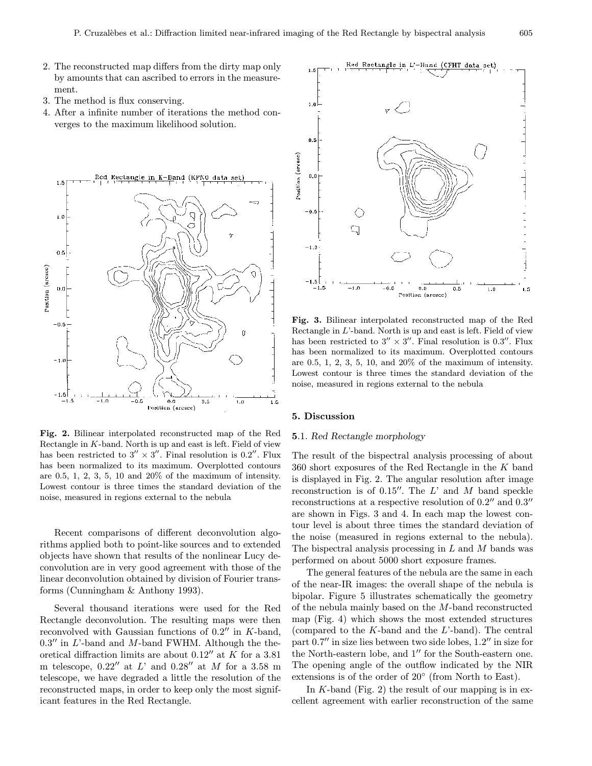- 2. The reconstructed map differs from the dirty map only by amounts that can ascribed to errors in the measurement.
- 3. The method is flux conserving.
- 4. After a infinite number of iterations the method converges to the maximum likelihood solution.



Fig. 2. Bilinear interpolated reconstructed map of the Red Rectangle in  $K$ -band. North is up and east is left. Field of view has been restricted to  $3'' \times 3''$ . Final resolution is 0.2''. Flux has been normalized to its maximum. Overplotted contours are  $0.5, 1, 2, 3, 5, 10$  and  $20\%$  of the maximum of intensity. Lowest contour is three times the standard deviation of the noise, measured in regions external to the nebula

Recent comparisons of different deconvolution algorithms applied both to point-like sources and to extended objects have shown that results of the nonlinear Lucy deconvolution are in very good agreement with those of the linear deconvolution obtained by division of Fourier transforms (Cunningham & Anthony 1993).

Several thousand iterations were used for the Red Rectangle deconvolution. The resulting maps were then reconvolved with Gaussian functions of  $0.2$ <sup>"</sup> in K-band,  $0.3$ " in L'-band and M-band FWHM. Although the theoretical diffraction limits are about  $0.12$ <sup>n</sup> at K for a 3.81 m telescope,  $0.22''$  at L' and  $0.28''$  at M for a 3.58 m telescope, we have degraded a little the resolution of the reconstructed maps, in order to keep only the most significant features in the Red Rectangle.



Fig. 3. Bilinear interpolated reconstructed map of the Red Rectangle in  $L$ -band. North is up and east is left. Field of view has been restricted to  $3'' \times 3''$ . Final resolution is 0.3<sup>0</sup>. Flux has been normalized to its maximum. Overplotted contours are  $0.5, 1, 2, 3, 5, 10,$  and  $20\%$  of the maximum of intensity. Lowest contour is three times the standard deviation of the noise, measured in regions external to the nebula

## 5. Discussion

# 5.1. Red Rectangle morphology

The result of the bispectral analysis processing of about 360 short exposures of the Red Rectangle in the K band is displayed in Fig. 2. The angular resolution after image reconstruction is of 0.15". The  $L'$  and  $M$  band speckle reconstructions at a respective resolution of  $0.2$ <sup>n</sup> and  $0.3$ <sup>n</sup> are shown in Figs. 3 and 4. In each map the lowest contour level is about three times the standard deviation of the noise (measured in regions external to the nebula). The bispectral analysis processing in  $L$  and  $M$  bands was performed on about 5000 short exposure frames.

The general features of the nebula are the same in each of the near-IR images: the overall shape of the nebula is bipolar. Figure 5 illustrates schematically the geometry of the nebula mainly based on the M-band reconstructed map (Fig. 4) which shows the most extended structures (compared to the  $K$ -band and the  $L$ '-band). The central part  $0.7$ <sup>"</sup> in size lies between two side lobes,  $1.2$ " in size for the North-eastern lobe, and  $1''$  for the South-eastern one. The opening angle of the outflow indicated by the NIR extensions is of the order of 20◦ (from North to East).

In  $K$ -band (Fig. 2) the result of our mapping is in excellent agreement with earlier reconstruction of the same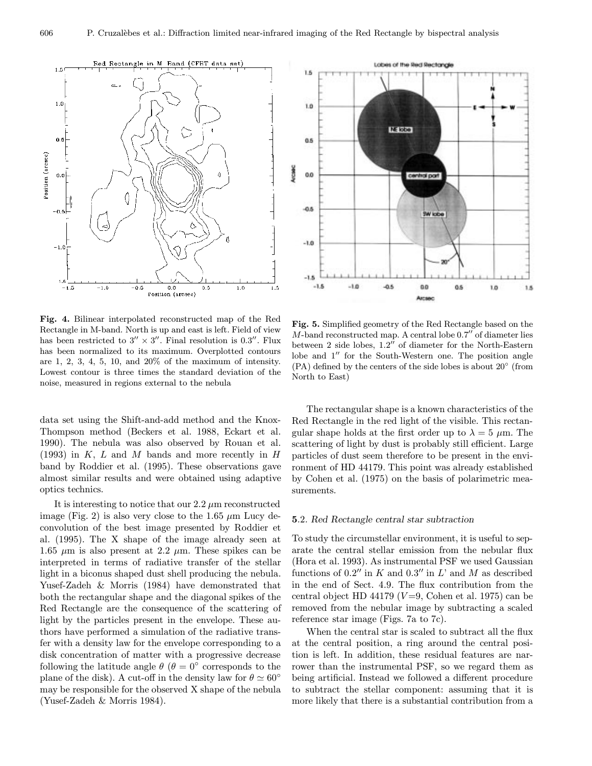

Fig. 4. Bilinear interpolated reconstructed map of the Red Rectangle in M-band. North is up and east is left. Field of view has been restricted to  $3'' \times 3''$ . Final resolution is 0.3". Flux has been normalized to its maximum. Overplotted contours are  $1, 2, 3, 4, 5, 10,$  and  $20\%$  of the maximum of intensity. Lowest contour is three times the standard deviation of the noise, measured in regions external to the nebula

data set using the Shift-and-add method and the Knox-Thompson method (Beckers et al. 1988, Eckart et al. 1990). The nebula was also observed by Rouan et al.  $(1993)$  in K, L and M bands and more recently in H band by Roddier et al. (1995). These observations gave almost similar results and were obtained using adaptive optics technics.

It is interesting to notice that our  $2.2 \mu m$  reconstructed image (Fig. 2) is also very close to the 1.65  $\mu$ m Lucy deconvolution of the best image presented by Roddier et al. (1995). The X shape of the image already seen at 1.65  $\mu$ m is also present at 2.2  $\mu$ m. These spikes can be interpreted in terms of radiative transfer of the stellar light in a biconus shaped dust shell producing the nebula. Yusef-Zadeh & Morris (1984) have demonstrated that both the rectangular shape and the diagonal spikes of the Red Rectangle are the consequence of the scattering of light by the particles present in the envelope. These authors have performed a simulation of the radiative transfer with a density law for the envelope corresponding to a disk concentration of matter with a progressive decrease following the latitude angle  $\theta$  ( $\theta = 0^{\circ}$  corresponds to the plane of the disk). A cut-off in the density law for  $\theta \simeq 60^{\circ}$ may be responsible for the observed X shape of the nebula (Yusef-Zadeh & Morris 1984).



Fig. 5. Simplified geometry of the Red Rectangle based on the  $M$ -band reconstructed map. A central lobe  $0.7$ " of diameter lies between  $2$  side lobes,  $1.2$ " of diameter for the North-Eastern lobe and  $1''$  for the South-Western one. The position angle  $(PA)$  defined by the centers of the side lobes is about  $20^{\circ}$  (from North to East)

The rectangular shape is a known characteristics of the Red Rectangle in the red light of the visible. This rectangular shape holds at the first order up to  $\lambda = 5 \mu m$ . The scattering of light by dust is probably still efficient. Large particles of dust seem therefore to be present in the environment of HD 44179. This point was already established by Cohen et al. (1975) on the basis of polarimetric measurements.

#### 5.2. Red Rectangle central star subtraction

To study the circumstellar environment, it is useful to separate the central stellar emission from the nebular flux (Hora et al. 1993). As instrumental PSF we used Gaussian functions of 0.2" in K and 0.3" in L' and M as described in the end of Sect. 4.9. The flux contribution from the central object HD 44179 ( $V=9$ , Cohen et al. 1975) can be removed from the nebular image by subtracting a scaled reference star image (Figs. 7a to 7c).

When the central star is scaled to subtract all the flux at the central position, a ring around the central position is left. In addition, these residual features are narrower than the instrumental PSF, so we regard them as being artificial. Instead we followed a different procedure to subtract the stellar component: assuming that it is more likely that there is a substantial contribution from a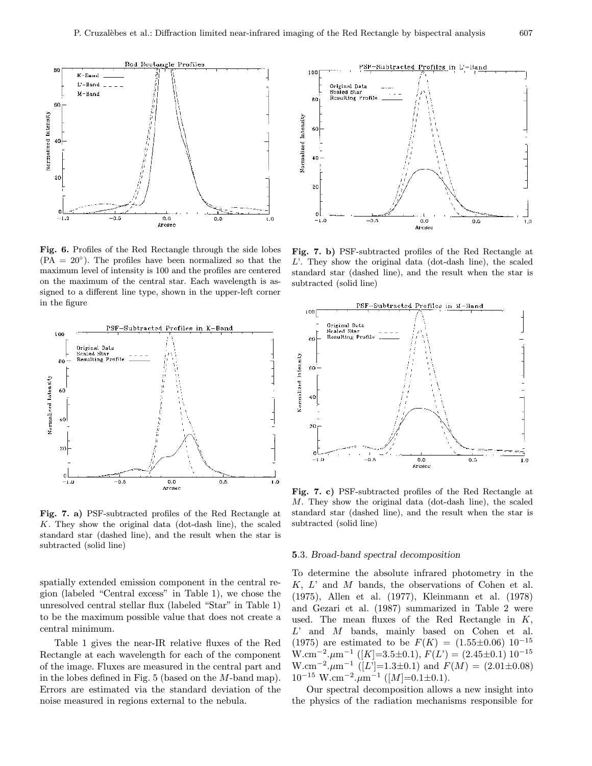

Fig. 6. Profiles of the Red Rectangle through the side lobes  $(PA = 20^{\circ})$ . The profiles have been normalized so that the maximum level of intensity is 100 and the profiles are centered on the maximum of the central star. Each wavelength is assigned to a different line type, shown in the upper-left corner in the figure



Fig. 7. a) PSF-subtracted profiles of the Red Rectangle at K. They show the original data (dot-dash line), the scaled standard star (dashed line), and the result when the star is subtracted (solid line)

spatially extended emission component in the central region (labeled "Central excess" in Table 1), we chose the unresolved central stellar flux (labeled "Star" in Table 1) to be the maximum possible value that does not create a central minimum.

Table 1 gives the near-IR relative fluxes of the Red Rectangle at each wavelength for each of the component of the image. Fluxes are measured in the central part and in the lobes defined in Fig. 5 (based on the M-band map). Errors are estimated via the standard deviation of the noise measured in regions external to the nebula.



Fig. 7. b) PSF-subtracted profiles of the Red Rectangle at L'. They show the original data (dot-dash line), the scaled standard star (dashed line), and the result when the star is subtracted (solid line)



Fig. 7. c) PSF-subtracted profiles of the Red Rectangle at M. They show the original data (dot-dash line), the scaled standard star (dashed line), and the result when the star is subtracted (solid line)

#### 5.3. Broad-band spectral decomposition

To determine the absolute infrared photometry in the  $K, L'$  and  $M$  bands, the observations of Cohen et al. (1975), Allen et al. (1977), Kleinmann et al. (1978) and Gezari et al. (1987) summarized in Table 2 were used. The mean fluxes of the Red Rectangle in K,  $L'$  and  $M$  bands, mainly based on Cohen et al. (1975) are estimated to be  $F(K) = (1.55 \pm 0.06) 10^{-15}$ W.cm<sup>-2</sup>. $\mu$ m<sup>-1</sup> ([K]=3.5±0.1),  $F(L') = (2.45 \pm 0.1) 10^{-15}$ W.cm<sup>-2</sup>. $\mu$ m<sup>-1</sup> ([L']=1.3±0.1) and  $F(M) = (2.01 \pm 0.08)$  $10^{-15}$  W.cm<sup>-2</sup>. $\mu$ m<sup>-1</sup> ([M]=0.1±0.1).

Our spectral decomposition allows a new insight into the physics of the radiation mechanisms responsible for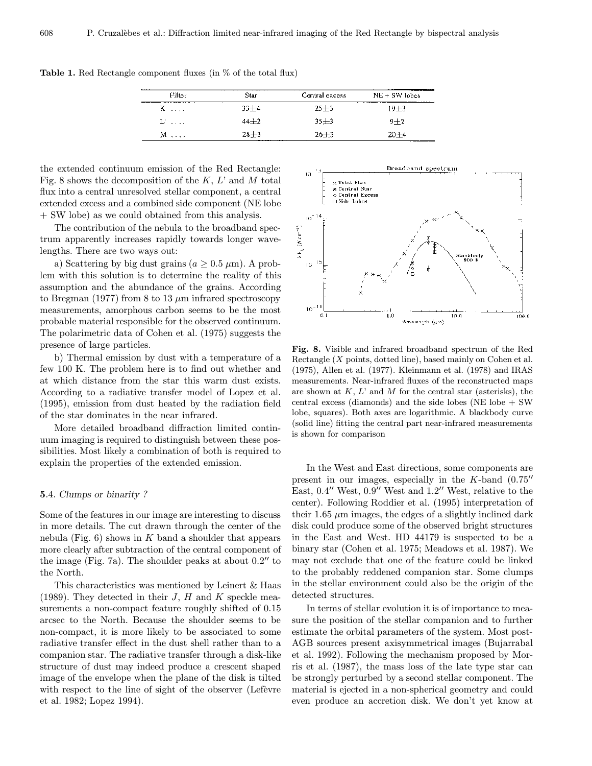| Filter | <del>.</del><br>Star | Central excess | $NE + SW$ lobes |
|--------|----------------------|----------------|-----------------|
| $K$    | $33 + 4$             | $25 + 3$       | $19 + 3$        |
| $U$    | $44 + 2$             | $35 + 3$       | $9 + 2$         |
| $M$    | $28 + 3$             | $26 + 3$       | $20 + 4$        |

Table 1. Red Rectangle component fluxes (in % of the total flux)

the extended continuum emission of the Red Rectangle: Fig. 8 shows the decomposition of the  $K, L'$  and M total flux into a central unresolved stellar component, a central extended excess and a combined side component (NE lobe + SW lobe) as we could obtained from this analysis.

The contribution of the nebula to the broadband spectrum apparently increases rapidly towards longer wavelengths. There are two ways out:

a) Scattering by big dust grains ( $a \geq 0.5 \ \mu m$ ). A problem with this solution is to determine the reality of this assumption and the abundance of the grains. According to Bregman (1977) from 8 to 13  $\mu$ m infrared spectroscopy measurements, amorphous carbon seems to be the most probable material responsible for the observed continuum. The polarimetric data of Cohen et al. (1975) suggests the presence of large particles.

b) Thermal emission by dust with a temperature of a few 100 K. The problem here is to find out whether and at which distance from the star this warm dust exists. According to a radiative transfer model of Lopez et al. (1995), emission from dust heated by the radiation field of the star dominates in the near infrared.

More detailed broadband diffraction limited continuum imaging is required to distinguish between these possibilities. Most likely a combination of both is required to explain the properties of the extended emission.

## 5.4. Clumps or binarity ?

Some of the features in our image are interesting to discuss in more details. The cut drawn through the center of the nebula (Fig. 6) shows in  $K$  band a shoulder that appears more clearly after subtraction of the central component of the image (Fig. 7a). The shoulder peaks at about  $0.2$ <sup>"</sup> to the North.

This characteristics was mentioned by Leinert & Haas (1989). They detected in their  $J$ ,  $H$  and  $K$  speckle measurements a non-compact feature roughly shifted of 0.15 arcsec to the North. Because the shoulder seems to be non-compact, it is more likely to be associated to some radiative transfer effect in the dust shell rather than to a companion star. The radiative transfer through a disk-like structure of dust may indeed produce a crescent shaped image of the envelope when the plane of the disk is tilted with respect to the line of sight of the observer (Lefèvre et al. 1982; Lopez 1994).



Fig. 8. Visible and infrared broadband spectrum of the Red Rectangle (X points, dotted line), based mainly on Cohen et al. (1975), Allen et al. (1977). Kleinmann et al. (1978) and IRAS measurements. Near-infrared fluxes of the reconstructed maps are shown at  $K, L'$  and M for the central star (asterisks), the central excess (diamonds) and the side lobes (NE lobe + SW lobe, squares). Both axes are logarithmic. A blackbody curve (solid line) fitting the central part near-infrared measurements is shown for comparison

In the West and East directions, some components are present in our images, especially in the  $K$ -band  $(0.75)$ East,  $0.4$ <sup>"</sup> West,  $0.9$ " West and  $1.2$ " West, relative to the center). Following Roddier et al. (1995) interpretation of their 1.65  $\mu$ m images, the edges of a slightly inclined dark disk could produce some of the observed bright structures in the East and West. HD 44179 is suspected to be a binary star (Cohen et al. 1975; Meadows et al. 1987). We may not exclude that one of the feature could be linked to the probably reddened companion star. Some clumps in the stellar environment could also be the origin of the detected structures.

In terms of stellar evolution it is of importance to measure the position of the stellar companion and to further estimate the orbital parameters of the system. Most post-AGB sources present axisymmetrical images (Bujarrabal et al. 1992). Following the mechanism proposed by Morris et al. (1987), the mass loss of the late type star can be strongly perturbed by a second stellar component. The material is ejected in a non-spherical geometry and could even produce an accretion disk. We don't yet know at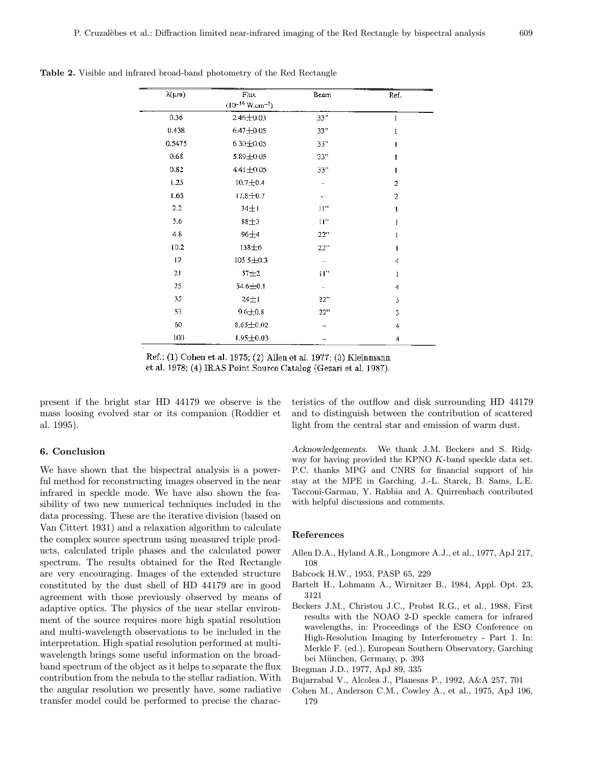| $\lambda(\mu m)$ | Flux                           | Beam | Ref.           |
|------------------|--------------------------------|------|----------------|
|                  | $(10^{-16} \text{ W.cm}^{-2})$ |      |                |
| 0.36             | $2.46 \pm 0.03$                | 33"  | 1              |
| 0.438            | $6.47 + 0.05$                  | 33"  | 1              |
| 0.5475           | 6.30±0.05                      | 33"  | ī              |
| 0.68             | 5.89±0.05                      | 33"  |                |
| 0.82             | $4.41 \pm 0.05$                | 33"  |                |
| 1.25             | $10.7 + 0.4$                   |      | 2              |
| 1.65             | 17.8±0.7                       |      | $\overline{a}$ |
| $2.2^{\circ}$    | $34 \pm 1$                     | 11"  | ı              |
| 3.6              | 88土3                           | 11"  | ł              |
| 4.8              | $96 + 4$                       | 22"  |                |
| 10.2             | 138±6                          | 22"  |                |
| 12               | $105.5 \pm 0.3$                |      | 4              |
| 21               | $57 + 2$                       | Ħ"   | 1              |
| 25               | 54.6±0.1                       |      | 4              |
| 35               | $24 \pm 1$                     | 22"  | 3              |
| 53               | $9.6 \pm 0.8$                  | 22"  | 3              |
| 60               | $8.65 \pm 0.02$                |      | 4              |
| 100              | $1.95 \pm 0.03$                |      | 4              |

Table 2. Visible and infrared broad-band photometry of the Red Rectangle

Ref.: (1) Cohen et al. 1975; (2) Allen et al. 1977; (3) Kleinmann et al. 1978; (4) IRAS Point Source Catalog (Gezari et al. 1987).

present if the bright star HD 44179 we observe is the mass loosing evolved star or its companion (Roddier et al. 1995).

## 6. Conclusion

We have shown that the bispectral analysis is a powerful method for reconstructing images observed in the near infrared in speckle mode. We have also shown the feasibility of two new numerical techniques included in the data processing. These are the iterative division (based on Van Cittert 1931) and a relaxation algorithm to calculate the complex source spectrum using measured triple products, calculated triple phases and the calculated power spectrum. The results obtained for the Red Rectangle are very encouraging. Images of the extended structure constituted by the dust shell of HD 44179 are in good agreement with those previously observed by means of adaptive optics. The physics of the near stellar environment of the source requires more high spatial resolution and multi-wavelength observations to be included in the interpretation. High spatial resolution performed at multiwavelength brings some useful information on the broadband spectrum of the object as it helps to separate the flux contribution from the nebula to the stellar radiation. With the angular resolution we presently have, some radiative transfer model could be performed to precise the characteristics of the outflow and disk surrounding HD 44179 and to distinguish between the contribution of scattered light from the central star and emission of warm dust.

Acknowledgements. We thank J.M. Beckers and S. Ridgway for having provided the KPNO K-band speckle data set. P.C. thanks MPG and CNRS for financial support of his stay at the MPE in Garching. J.-L. Starck, B. Sams, L.E. Tacconi-Garman, Y. Rabbia and A. Quirrenbach contributed with helpful discussions and comments.

### References

- Allen D.A., Hyland A.R., Longmore A.J., et al., 1977, ApJ 217, 108
- Babcock H.W., 1953, PASP 65, 229
- Bartelt H., Lohmann A., Wirnitzer B., 1984, Appl. Opt. 23, 3121
- Beckers J.M., Christou J.C., Probst R.G., et al., 1988, First results with the NOAO 2-D speckle camera for infrared wavelengths, in: Proceedings of the ESO Conference on High-Resolution Imaging by Interferometry - Part 1. In: Merkle F. (ed.), European Southern Observatory, Garching bei München, Germany, p. 393
- Bregman J.D., 1977, ApJ 89, 335
- Bujarrabal V., Alcolea J., Planesas P., 1992, A&A 257, 701
- Cohen M., Anderson C.M., Cowley A., et al., 1975, ApJ 196, 179